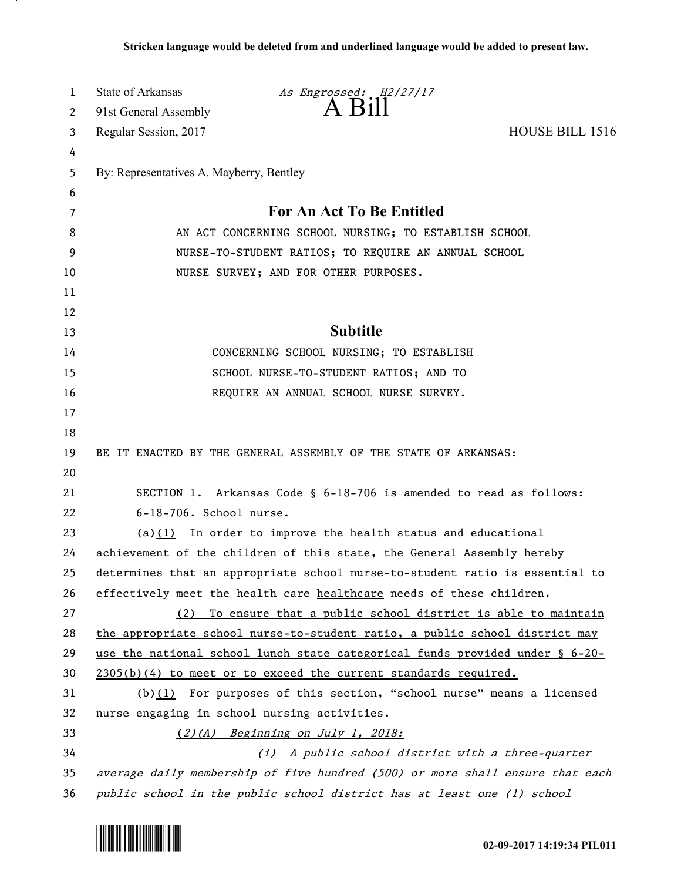| 1  | <b>State of Arkansas</b>                 | As Engrossed: H2/27/17                                                          |                 |
|----|------------------------------------------|---------------------------------------------------------------------------------|-----------------|
| 2  | 91st General Assembly                    | $A$ $B$ <sub>1</sub> $\parallel$                                                |                 |
| 3  | Regular Session, 2017                    |                                                                                 | HOUSE BILL 1516 |
| 4  |                                          |                                                                                 |                 |
| 5  | By: Representatives A. Mayberry, Bentley |                                                                                 |                 |
| 6  |                                          |                                                                                 |                 |
| 7  |                                          | For An Act To Be Entitled                                                       |                 |
| 8  |                                          | AN ACT CONCERNING SCHOOL NURSING; TO ESTABLISH SCHOOL                           |                 |
| 9  |                                          | NURSE-TO-STUDENT RATIOS; TO REQUIRE AN ANNUAL SCHOOL                            |                 |
| 10 |                                          | NURSE SURVEY; AND FOR OTHER PURPOSES.                                           |                 |
| 11 |                                          |                                                                                 |                 |
| 12 |                                          |                                                                                 |                 |
| 13 |                                          | <b>Subtitle</b>                                                                 |                 |
| 14 |                                          | CONCERNING SCHOOL NURSING; TO ESTABLISH                                         |                 |
| 15 |                                          | SCHOOL NURSE-TO-STUDENT RATIOS; AND TO                                          |                 |
| 16 |                                          | REQUIRE AN ANNUAL SCHOOL NURSE SURVEY.                                          |                 |
| 17 |                                          |                                                                                 |                 |
| 18 |                                          |                                                                                 |                 |
| 19 |                                          | BE IT ENACTED BY THE GENERAL ASSEMBLY OF THE STATE OF ARKANSAS:                 |                 |
| 20 |                                          |                                                                                 |                 |
| 21 |                                          | SECTION 1. Arkansas Code § 6-18-706 is amended to read as follows:              |                 |
| 22 | 6-18-706. School nurse.                  |                                                                                 |                 |
| 23 |                                          | (a) $(1)$ In order to improve the health status and educational                 |                 |
| 24 |                                          | achievement of the children of this state, the General Assembly hereby          |                 |
| 25 |                                          | determines that an appropriate school nurse-to-student ratio is essential to    |                 |
| 26 |                                          | effectively meet the health care healthcare needs of these children.            |                 |
| 27 | (2)                                      | To ensure that a public school district is able to maintain                     |                 |
| 28 |                                          | the appropriate school nurse-to-student ratio, a public school district may     |                 |
| 29 |                                          | use the national school lunch state categorical funds provided under $\S$ 6-20- |                 |
| 30 |                                          | 2305(b)(4) to meet or to exceed the current standards required.                 |                 |
| 31 |                                          | (b) $(1)$ For purposes of this section, "school nurse" means a licensed         |                 |
| 32 |                                          | nurse engaging in school nursing activities.                                    |                 |
| 33 |                                          | (2)(A) Beginning on July 1, 2018:                                               |                 |
| 34 |                                          | (i) A public school district with a three-quarter                               |                 |
| 35 |                                          | average daily membership of five hundred (500) or more shall ensure that each   |                 |
| 36 |                                          | public school in the public school district has at least one (1) school         |                 |



.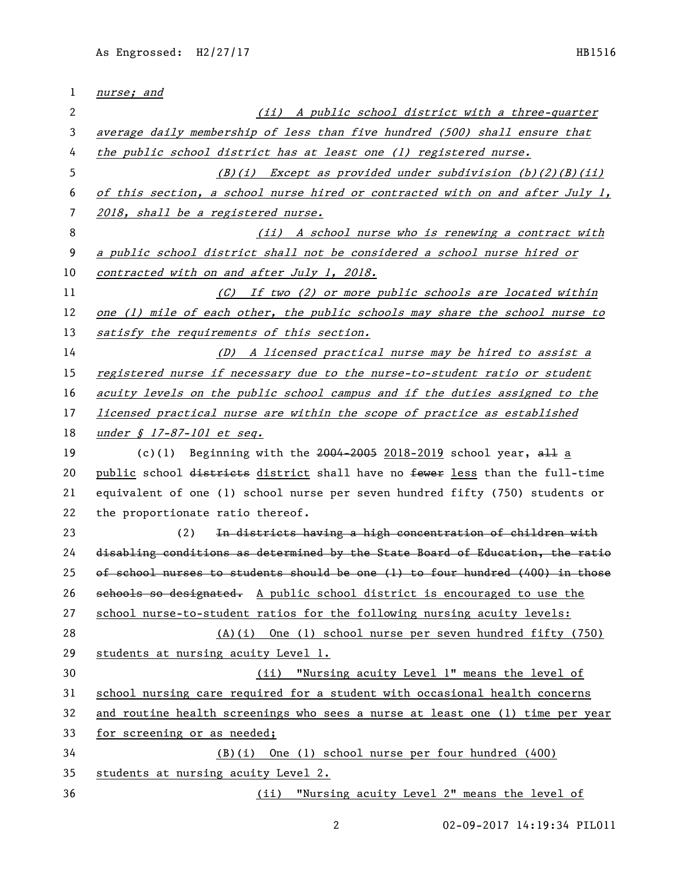| 1  | nurse; and                                                                    |
|----|-------------------------------------------------------------------------------|
| 2  | (ii) A public school district with a three-quarter                            |
| 3  | average daily membership of less than five hundred (500) shall ensure that    |
| 4  | the public school district has at least one (1) registered nurse.             |
| 5  | $(B)(i)$ Except as provided under subdivision $(b)(2)(B)(ii)$                 |
| 6  | of this section, a school nurse hired or contracted with on and after July 1, |
| 7  | 2018, shall be a registered nurse.                                            |
| 8  | (ii) A school nurse who is renewing a contract with                           |
| 9  | a public school district shall not be considered a school nurse hired or      |
| 10 | contracted with on and after July 1, 2018.                                    |
| 11 | (C) If two (2) or more public schools are located within                      |
| 12 | one (1) mile of each other, the public schools may share the school nurse to  |
| 13 | satisfy the requirements of this section.                                     |
| 14 | (D) A licensed practical nurse may be hired to assist a                       |
| 15 | registered nurse if necessary due to the nurse-to-student ratio or student    |
| 16 | acuity levels on the public school campus and if the duties assigned to the   |
| 17 | licensed practical nurse are within the scope of practice as established      |
| 18 | <u>under § 17-87-101 et seq.</u>                                              |
| 19 | (c)(1) Beginning with the $2004-2005$ 2018-2019 school year, $\frac{11}{2}$ a |
| 20 | public school districts district shall have no fewer less than the full-time  |
| 21 | equivalent of one (1) school nurse per seven hundred fifty (750) students or  |
| 22 | the proportionate ratio thereof.                                              |
| 23 | In districts having a high concentration of children with<br>(2)              |
| 24 | disabling conditions as determined by the State Board of Education, the ratio |
| 25 | of school nurses to students should be one (1) to four hundred (400) in those |
| 26 | schools so designated. A public school district is encouraged to use the      |
| 27 | school nurse-to-student ratios for the following nursing acuity levels:       |
| 28 | $(A)(i)$ One (1) school nurse per seven hundred fifty (750)                   |
| 29 | students at nursing acuity Level 1.                                           |
| 30 | (ii) "Nursing acuity Level 1" means the level of                              |
| 31 | school nursing care required for a student with occasional health concerns    |
| 32 | and routine health screenings who sees a nurse at least one (1) time per year |
| 33 | for screening or as needed;                                                   |
| 34 | (B)(i) One (1) school nurse per four hundred (400)                            |
| 35 | students at nursing acuity Level 2.                                           |
| 36 | (ii) "Nursing acuity Level 2" means the level of                              |

02-09-2017 14:19:34 PIL011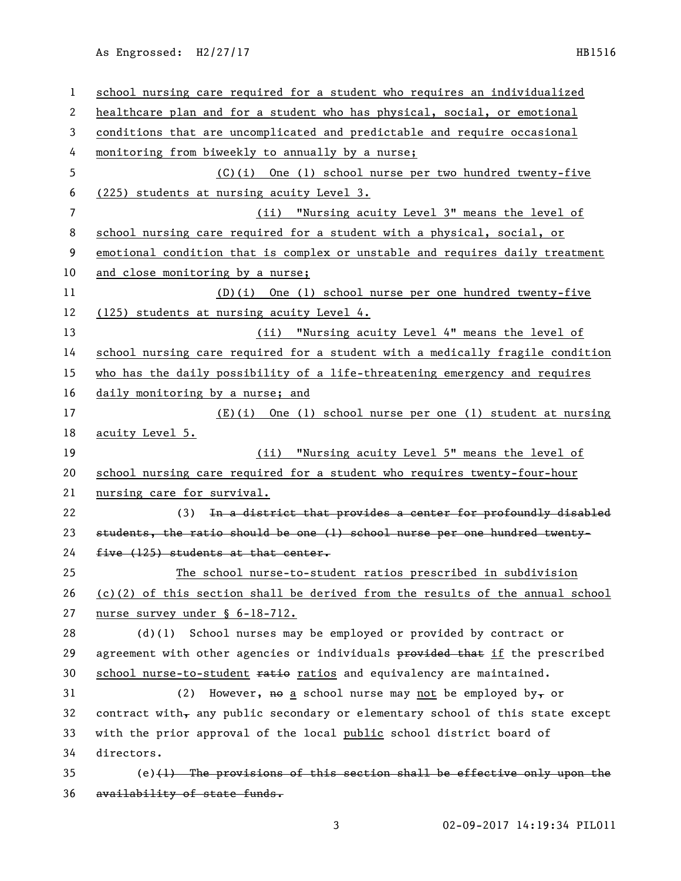As Engrossed: H2/27/17 HB1516

| 1  | school nursing care required for a student who requires an individualized       |
|----|---------------------------------------------------------------------------------|
| 2  | healthcare plan and for a student who has physical, social, or emotional        |
| 3  | conditions that are uncomplicated and predictable and require occasional        |
| 4  | monitoring from biweekly to annually by a nurse;                                |
| 5  | (C)(i) One (1) school nurse per two hundred twenty-five                         |
| 6  | (225) students at nursing acuity Level 3.                                       |
| 7  | "Nursing acuity Level 3" means the level of<br>(iii)                            |
| 8  | school nursing care required for a student with a physical, social, or          |
| 9  | emotional condition that is complex or unstable and requires daily treatment    |
| 10 | and close monitoring by a nurse;                                                |
| 11 | $(D)(i)$ One (1) school nurse per one hundred twenty-five                       |
| 12 | (125) students at nursing acuity Level 4.                                       |
| 13 | "Nursing acuity Level 4" means the level of<br>(ii)                             |
| 14 | school nursing care required for a student with a medically fragile condition   |
| 15 | who has the daily possibility of a life-threatening emergency and requires      |
| 16 | daily monitoring by a nurse; and                                                |
| 17 | (E)(i) One (1) school nurse per one (1) student at nursing                      |
| 18 | acuity Level 5.                                                                 |
| 19 | "Nursing acuity Level 5" means the level of<br>(ii)                             |
| 20 | school nursing care required for a student who requires twenty-four-hour        |
| 21 | nursing care for survival.                                                      |
| 22 | (3) In a district that provides a center for profoundly disabled                |
| 23 | students, the ratio should be one (1) school nurse per one hundred twenty-      |
| 24 | five (125) students at that center.                                             |
| 25 | The school nurse-to-student ratios prescribed in subdivision                    |
| 26 | $(c)(2)$ of this section shall be derived from the results of the annual school |
| 27 | nurse survey under § 6-18-712.                                                  |
| 28 | (d)(1) School nurses may be employed or provided by contract or                 |
| 29 | agreement with other agencies or individuals provided that if the prescribed    |
| 30 | school nurse-to-student ratio ratios and equivalency are maintained.            |
| 31 | However, no a school nurse may not be employed by, or<br>(2)                    |
| 32 |                                                                                 |
| 33 | contract with, any public secondary or elementary school of this state except   |
|    | with the prior approval of the local public school district board of            |
| 34 | directors.                                                                      |
| 35 | $(e)$ (1) The provisions of this section shall be effective only upon the       |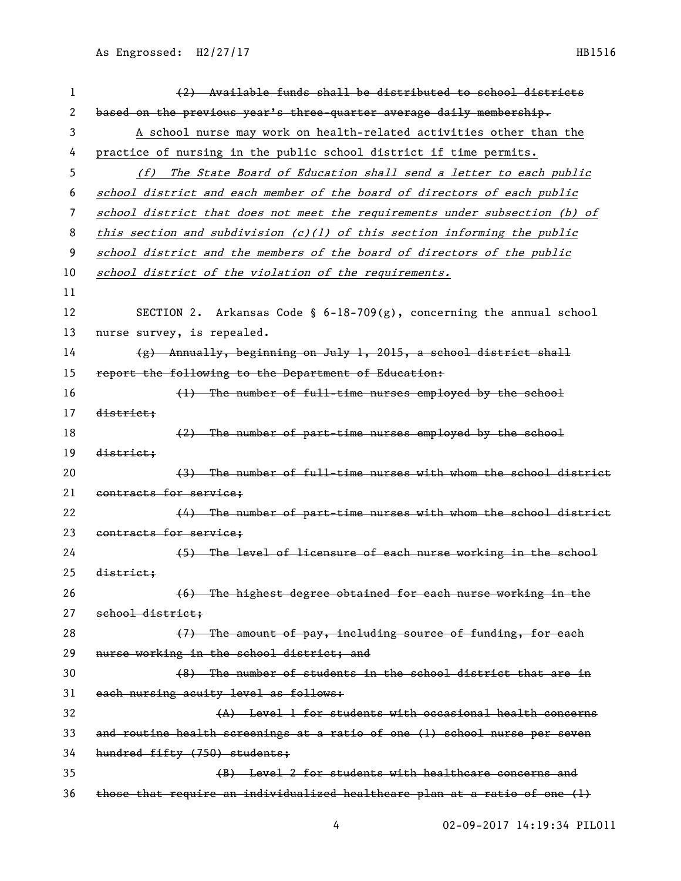| 1  | (2) Available funds shall be distributed to school districts                |
|----|-----------------------------------------------------------------------------|
| 2  | based on the previous year's three-quarter average daily membership.        |
| 3  | A school nurse may work on health-related activities other than the         |
| 4  | practice of nursing in the public school district if time permits.          |
| 5  | (f) The State Board of Education shall send a letter to each public         |
| 6  | school district and each member of the board of directors of each public    |
| 7  | school district that does not meet the requirements under subsection (b) of |
| 8  | this section and subdivision $(c)(1)$ of this section informing the public  |
| 9  | school district and the members of the board of directors of the public     |
| 10 | school district of the violation of the requirements.                       |
| 11 |                                                                             |
| 12 | SECTION 2. Arkansas Code § $6-18-709(g)$ , concerning the annual school     |
| 13 | nurse survey, is repealed.                                                  |
| 14 | $(g)$ Annually, beginning on July 1, 2015, a school district shall          |
| 15 | report the following to the Department of Education:                        |
| 16 | (1) The number of full-time nurses employed by the school                   |
| 17 | district;                                                                   |
| 18 | (2) The number of part-time nurses employed by the school                   |
| 19 | district;                                                                   |
| 20 | (3) The number of full-time nurses with whom the school district            |
| 21 | contracts for service;                                                      |
| 22 | (4) The number of part-time nurses with whom the school district            |
| 23 | contracts for service;                                                      |
| 24 | (5) The level of licensure of each nurse working in the school              |
| 25 | district;                                                                   |
| 26 | (6) The highest degree obtained for each nurse working in the               |
| 27 | school district;                                                            |
| 28 | (7) The amount of pay, including source of funding, for each                |
| 29 | nurse working in the school district; and                                   |
| 30 | (8) The number of students in the school district that are in               |
| 31 | each nursing acuity level as follows:                                       |
| 32 | (A) Level 1 for students with occasional health concerns                    |
| 33 | and routine health screenings at a ratio of one (1) school nurse per seven  |
| 34 | hundred fifty (750) students;                                               |
| 35 | (B) Level 2 for students with healthcare concerns and                       |
| 36 | those that require an individualized healthcare plan at a ratio of one (1)  |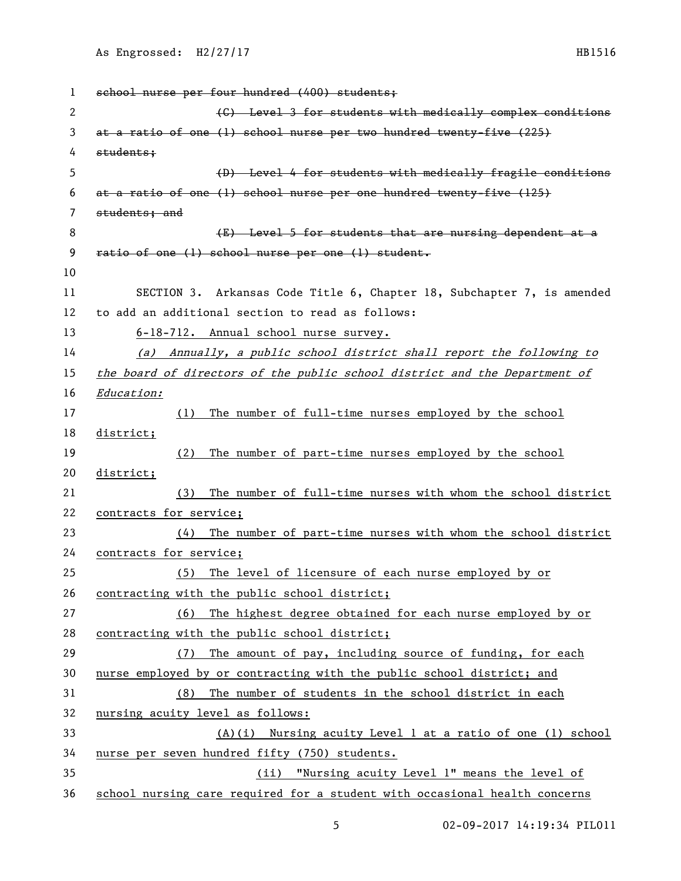```
1 school nurse per four hundred (400) students;
2 (C) Level 3 for students with medically complex conditions 
3 at a ratio of one (1) school nurse per two hundred twenty-five (225) 
4 students;
5 (D) Level 4 for students with medically fragile conditions 
6 at a ratio of one (1) school nurse per one hundred twenty-five (125) 
7 students; and
8 (E) Level 5 for students that are nursing dependent at a
9 ratio of one (1) school nurse per one (1) student.
10
11 SECTION 3. Arkansas Code Title 6, Chapter 18, Subchapter 7, is amended 
12 to add an additional section to read as follows:
13 6-18-712. Annual school nurse survey.
14 (a) Annually, a public school district shall report the following to 
15 the board of directors of the public school district and the Department of 
16 Education:
17 (1) The number of full-time nurses employed by the school 
18 district;
19 (2) The number of part-time nurses employed by the school 
20 district;
21 (3) The number of full-time nurses with whom the school district 
22 contracts for service;
23 (4) The number of part-time nurses with whom the school district 
24 contracts for service;
25 (5) The level of licensure of each nurse employed by or 
26 contracting with the public school district;
27 (6) The highest degree obtained for each nurse employed by or 
28 contracting with the public school district;
29 (7) The amount of pay, including source of funding, for each 
30 nurse employed by or contracting with the public school district; and
31 (8) The number of students in the school district in each 
32 nursing acuity level as follows:
33 (A)(i) Nursing acuity Level 1 at a ratio of one (1) school 
34 nurse per seven hundred fifty (750) students. 
35 (ii) "Nursing acuity Level 1" means the level of 
36 school nursing care required for a student with occasional health concerns
```
02-09-2017 14:19:34 PIL011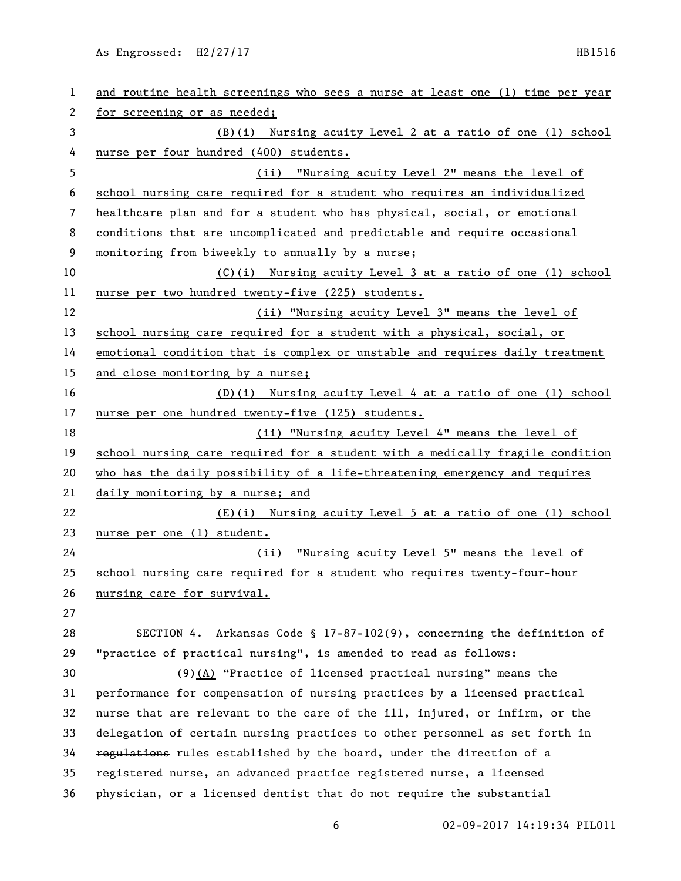As Engrossed: H2/27/17 HB1516

| 1  | and routine health screenings who sees a nurse at least one (1) time per year |
|----|-------------------------------------------------------------------------------|
| 2  | for screening or as needed;                                                   |
| 3  | (B)(i) Nursing acuity Level 2 at a ratio of one (1) school                    |
| 4  | nurse per four hundred (400) students.                                        |
| 5  | (ii) "Nursing acuity Level 2" means the level of                              |
| 6  | school nursing care required for a student who requires an individualized     |
| 7  | healthcare plan and for a student who has physical, social, or emotional      |
| 8  | conditions that are uncomplicated and predictable and require occasional      |
| 9  | monitoring from biweekly to annually by a nurse;                              |
| 10 | $(C)(i)$ Nursing acuity Level 3 at a ratio of one (1) school                  |
| 11 | nurse per two hundred twenty-five (225) students.                             |
| 12 | (ii) "Nursing acuity Level 3" means the level of                              |
| 13 | school nursing care required for a student with a physical, social, or        |
| 14 | emotional condition that is complex or unstable and requires daily treatment  |
| 15 | and close monitoring by a nurse;                                              |
| 16 | $(D)(i)$ Nursing acuity Level 4 at a ratio of one (1) school                  |
| 17 | nurse per one hundred twenty-five (125) students.                             |
| 18 | (ii) "Nursing acuity Level 4" means the level of                              |
| 19 | school nursing care required for a student with a medically fragile condition |
| 20 | who has the daily possibility of a life-threatening emergency and requires    |
| 21 | daily monitoring by a nurse; and                                              |
| 22 | $(E)(i)$ Nursing acuity Level 5 at a ratio of one (1) school                  |
| 23 | <u>nurse per one (1) student.</u>                                             |
| 24 | (ii) "Nursing acuity Level 5" means the level of                              |
| 25 | school nursing care required for a student who requires twenty-four-hour      |
| 26 | nursing care for survival.                                                    |
| 27 |                                                                               |
| 28 | SECTION 4. Arkansas Code § $17-87-102(9)$ , concerning the definition of      |
| 29 | "practice of practical nursing", is amended to read as follows:               |
| 30 | $(9)$ (A) "Practice of licensed practical nursing" means the                  |
| 31 | performance for compensation of nursing practices by a licensed practical     |
| 32 | nurse that are relevant to the care of the ill, injured, or infirm, or the    |
| 33 | delegation of certain nursing practices to other personnel as set forth in    |
| 34 | regulations rules established by the board, under the direction of a          |
| 35 | registered nurse, an advanced practice registered nurse, a licensed           |
| 36 | physician, or a licensed dentist that do not require the substantial          |
|    |                                                                               |

6 02-09-2017 14:19:34 PIL011